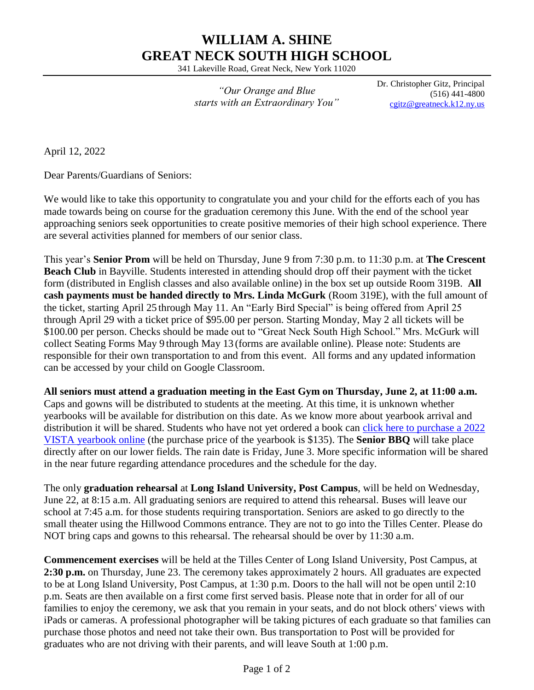## **WILLIAM A. SHINE GREAT NECK SOUTH HIGH SCHOOL**

341 Lakeville Road, Great Neck, New York 11020

*"Our Orange and Blue starts with an Extraordinary You"* Dr. Christopher Gitz, Principal (516) 441-4800 [cgitz@greatneck.k12.ny.us](mailto:cgitz@greatneck.k12.ny.us)

April 12, 2022

Dear Parents/Guardians of Seniors:

We would like to take this opportunity to congratulate you and your child for the efforts each of you has made towards being on course for the graduation ceremony this June. With the end of the school year approaching seniors seek opportunities to create positive memories of their high school experience. There are several activities planned for members of our senior class.

This year's **Senior Prom** will be held on Thursday, June 9 from 7:30 p.m. to 11:30 p.m. at **The Crescent Beach Club** in Bayville. Students interested in attending should drop off their payment with the ticket form (distributed in English classes and also available online) in the box set up outside Room 319B. **All cash payments must be handed directly to Mrs. Linda McGurk** (Room 319E), with the full amount of the ticket, starting April 25 through May 11. An "Early Bird Special" is being offered from April 25 through April 29 with a ticket price of \$95.00 per person. Starting Monday, May 2 all tickets will be \$100.00 per person. Checks should be made out to "Great Neck South High School." Mrs. McGurk will collect Seating Forms May 9 through May 13 (forms are available online). Please note: Students are responsible for their own transportation to and from this event. All forms and any updated information can be accessed by your child on Google Classroom.

**All seniors must attend a graduation meeting in the East Gym on Thursday, June 2, at 11:00 a.m.** Caps and gowns will be distributed to students at the meeting. At this time, it is unknown whether yearbooks will be available for distribution on this date. As we know more about yearbook arrival and distribution it will be shared. Students who have not yet ordered a book can [click here to purchase a 2022](https://www.jostens.com/apps/store/productBrowse/1054385/Great-Neck-South-High-School/2022-Yearbook/20220130041505183104/CATALOG_SHOP/)  [VISTA yearbook online](https://www.jostens.com/apps/store/productBrowse/1054385/Great-Neck-South-High-School/2022-Yearbook/20220130041505183104/CATALOG_SHOP/) (the purchase price of the yearbook is \$135). The **Senior BBQ** will take place directly after on our lower fields. The rain date is Friday, June 3. More specific information will be shared in the near future regarding attendance procedures and the schedule for the day.

The only **graduation rehearsal** at **Long Island University, Post Campus**, will be held on Wednesday, June 22, at 8:15 a.m. All graduating seniors are required to attend this rehearsal. Buses will leave our school at 7:45 a.m. for those students requiring transportation. Seniors are asked to go directly to the small theater using the Hillwood Commons entrance. They are not to go into the Tilles Center. Please do NOT bring caps and gowns to this rehearsal. The rehearsal should be over by 11:30 a.m.

**Commencement exercises** will be held at the Tilles Center of Long Island University, Post Campus, at **2:30 p.m.** on Thursday, June 23. The ceremony takes approximately 2 hours. All graduates are expected to be at Long Island University, Post Campus, at 1:30 p.m. Doors to the hall will not be open until 2:10 p.m. Seats are then available on a first come first served basis. Please note that in order for all of our families to enjoy the ceremony, we ask that you remain in your seats, and do not block others' views with iPads or cameras. A professional photographer will be taking pictures of each graduate so that families can purchase those photos and need not take their own. Bus transportation to Post will be provided for graduates who are not driving with their parents, and will leave South at 1:00 p.m.